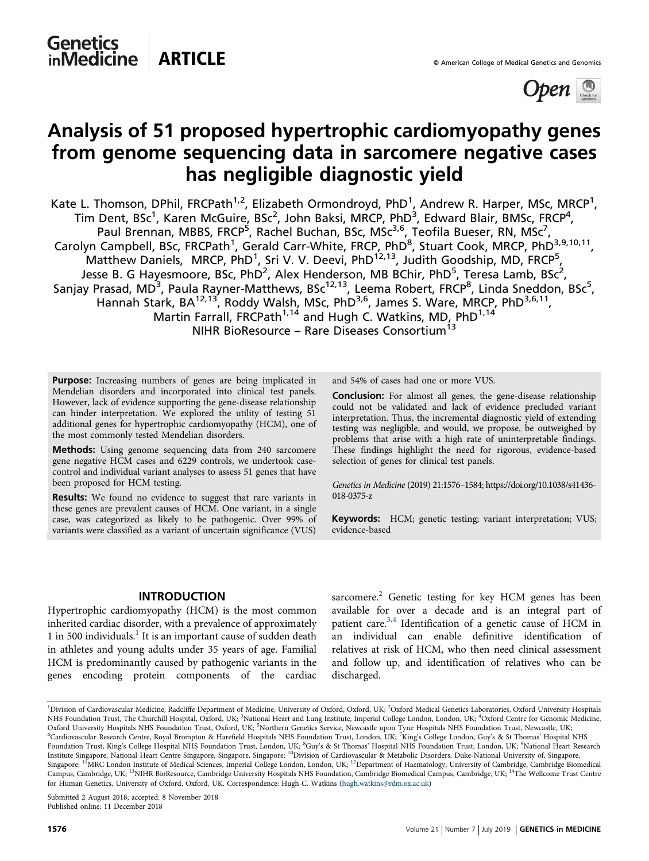

# Analysis of 51 proposed hypertrophic cardiomyopathy genes from genome sequencing data in sarcomere negative cases has negligible diagnostic yield

Kate L. Thomson, DPhil, FRCPath<sup>1,2</sup>, Elizabeth Ormondroyd, PhD<sup>1</sup>, Andrew R. Harper, MSc, MRCP<sup>1</sup>, Tim Dent, BSc<sup>1</sup>, Karen McGuire, BSc<sup>2</sup>, John Baksi, MRCP, PhD<sup>3</sup>, Edward Blair, BMSc, FRCP<sup>4</sup>, Paul Brennan, MBBS, FRCP<sup>5</sup>, Rachel Buchan, BSc, MSc<sup>3,6</sup>, Teofila Bueser, RN, MSc<sup>7</sup>, Carolyn Campbell, BSc, FRCPath<sup>1</sup>, Gerald Carr-White, FRCP, PhD<sup>8</sup>, Stuart Cook, MRCP, PhD<sup>3,9,10,11</sup>, Matthew Daniels, MRCP, PhD<sup>1</sup>, Sri V. V. Deevi, PhD<sup>12,13</sup>, Judith Goodship, MD, FRCP<sup>5</sup>, Jesse B. G Hayesmoore, BSc, PhD<sup>2</sup>, Alex Henderson, MB BChir, PhD<sup>5</sup>, Teresa Lamb, BSc<sup>2</sup>, Sanjay Prasad, MD<sup>3</sup>, Paula Rayner-Matthews, BSc<sup>12,13</sup>, Leema Robert, FRCP<sup>8</sup>, Linda Sneddon, BSc<sup>5</sup>, Hannah Stark, BA<sup>12,13</sup>, Roddy Walsh, MSc, PhD<sup>3,6</sup>, James S. Ware, MRCP, PhD<sup>3,6,11</sup>, Martin Farrall, FRCPath<sup>1,14</sup> and Hugh C. Watkins, MD, PhD<sup>1,14</sup> NIHR BioResource – Rare Diseases Consortium<sup>13</sup>

**Purpose:** Increasing numbers of genes are being implicated in Mendelian disorders and incorporated into clinical test panels. However, lack of evidence supporting the gene-disease relationship can hinder interpretation. We explored the utility of testing 51 additional genes for hypertrophic cardiomyopathy (HCM), one of the most commonly tested Mendelian disorders.

Methods: Using genome sequencing data from 240 sarcomere gene negative HCM cases and 6229 controls, we undertook casecontrol and individual variant analyses to assess 51 genes that have been proposed for HCM testing.

Results: We found no evidence to suggest that rare variants in these genes are prevalent causes of HCM. One variant, in a single case, was categorized as likely to be pathogenic. Over 99% of variants were classified as a variant of uncertain significance (VUS) and 54% of cases had one or more VUS.

Conclusion: For almost all genes, the gene-disease relationship could not be validated and lack of evidence precluded variant interpretation. Thus, the incremental diagnostic yield of extending testing was negligible, and would, we propose, be outweighed by problems that arise with a high rate of uninterpretable findings. These findings highlight the need for rigorous, evidence-based selection of genes for clinical test panels.

Genetics in Medicine (2019) 21:1576–1584; https://doi.org/10.1038/s41436- 018-0375-z

Keywords: HCM; genetic testing; variant interpretation; VUS; evidence-based

#### INTRODUCTION

Hypertrophic cardiomyopathy (HCM) is the most common inherited cardiac disorder, with a prevalence of approximately 1 in 500 individuals.<sup>1</sup> It is an important cause of sudden death in athletes and young adults under 35 years of age. Familial HCM is predominantly caused by pathogenic variants in the genes encoding protein components of the cardiac sarcomere.<sup>[2](#page-7-0)</sup> Genetic testing for key HCM genes has been available for over a decade and is an integral part of patient care.<sup>[3,4](#page-7-0)</sup> Identification of a genetic cause of HCM in an individual can enable definitive identification of relatives at risk of HCM, who then need clinical assessment and follow up, and identification of relatives who can be discharged.

<sup>&</sup>lt;sup>1</sup>Division of Cardiovascular Medicine, Radcliffe Department of Medicine, University of Oxford, Oxford, UK; <sup>2</sup>Oxford Medical Genetics Laboratories, Oxford University Hospitals NHS Foundation Trust, The Churchill Hospital, Oxford, UK; <sup>3</sup>National Heart and Lung Institute, Imperial College London, London, UK; <sup>4</sup>Oxford Centre for Genomic Medicine, Oxford University Hospitals NHS Foundation Trust, Oxford, UK; <sup>5</sup>Northern Genetics Service, Newcastle upon Tyne Hospitals NHS Foundation Trust, Newcastle, UK; <sup>6</sup><br><sup>6</sup>Cardiovaccular Research Centre, Royal Brompton & Harefie Cardiovascular Research Centre, Royal Brompton & Harefield Hospitals NHS Foundation Trust, London, UK; <sup>7</sup>King's College London, Guy's & St Thomas' Hospital NHS Foundation Trust, King's College Hospital NHS Foundation Trust, London, UK; <sup>8</sup>Guy's & St Thomas' Hospital NHS Foundation Trust, London, UK; <sup>9</sup>National Heart Research Institute Singapore, National Heart Centre Singapore, Singapore, Singapore; 10Division of Cardiovascular & Metabolic Disorders, Duke-National University of, Singapore, Singapore; <sup>11</sup>MRC London Institute of Medical Sciences, Imperial College London, London, UK; <sup>12</sup>Department of Haematology, University of Cambridge, Cambridge Biomedical Campus, Cambridge, UK; 13NIHR BioResource, Cambridge University Hospitals NHS Foundation, Cambridge Biomedical Campus, Cambridge, UK; 14The Wellcome Trust Centre for Human Genetics, University of Oxford, Oxford, UK. Correspondence: Hugh C. Watkins [\(hugh.watkins@rdm.ox.ac.uk\)](mailto:hugh.watkins@rdm.ox.ac.uk)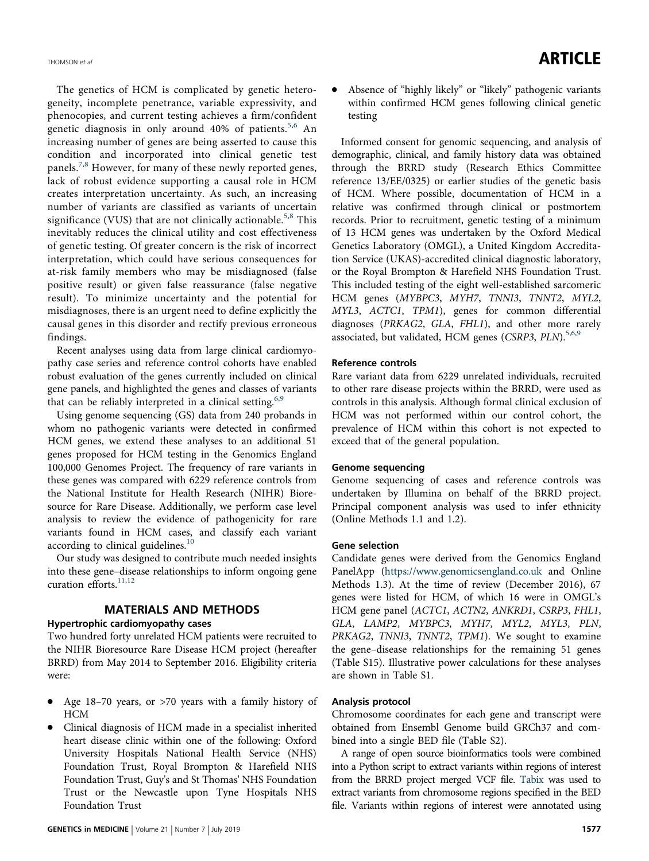The genetics of HCM is complicated by genetic heterogeneity, incomplete penetrance, variable expressivity, and phenocopies, and current testing achieves a firm/confident genetic diagnosis in only around 40% of patients.<sup>[5,6](#page-7-0)</sup> An increasing number of genes are being asserted to cause this condition and incorporated into clinical genetic test panels.[7,8](#page-7-0) However, for many of these newly reported genes, lack of robust evidence supporting a causal role in HCM creates interpretation uncertainty. As such, an increasing number of variants are classified as variants of uncertain significance (VUS) that are not clinically actionable.<sup>[5](#page-7-0),[8](#page-7-0)</sup> This inevitably reduces the clinical utility and cost effectiveness of genetic testing. Of greater concern is the risk of incorrect interpretation, which could have serious consequences for at-risk family members who may be misdiagnosed (false positive result) or given false reassurance (false negative result). To minimize uncertainty and the potential for misdiagnoses, there is an urgent need to define explicitly the causal genes in this disorder and rectify previous erroneous findings.

Recent analyses using data from large clinical cardiomyopathy case series and reference control cohorts have enabled robust evaluation of the genes currently included on clinical gene panels, and highlighted the genes and classes of variants that can be reliably interpreted in a clinical setting.<sup>[6](#page-7-0),[9](#page-7-0)</sup>

Using genome sequencing (GS) data from 240 probands in whom no pathogenic variants were detected in confirmed HCM genes, we extend these analyses to an additional 51 genes proposed for HCM testing in the Genomics England 100,000 Genomes Project. The frequency of rare variants in these genes was compared with 6229 reference controls from the National Institute for Health Research (NIHR) Bioresource for Rare Disease. Additionally, we perform case level analysis to review the evidence of pathogenicity for rare variants found in HCM cases, and classify each variant according to clinical guidelines.<sup>[10](#page-7-0)</sup>

Our study was designed to contribute much needed insights into these gene–disease relationships to inform ongoing gene curation efforts<sup>[11,12](#page-7-0)</sup>

#### MATERIALS AND METHODS

#### Hypertrophic cardiomyopathy cases

Two hundred forty unrelated HCM patients were recruited to the NIHR Bioresource Rare Disease HCM project (hereafter BRRD) from May 2014 to September 2016. Eligibility criteria were:

- Age  $18-70$  years, or  $>70$  years with a family history of **HCM**
- Clinical diagnosis of HCM made in a specialist inherited heart disease clinic within one of the following: Oxford University Hospitals National Health Service (NHS) Foundation Trust, Royal Brompton & Harefield NHS Foundation Trust, Guy's and St Thomas' NHS Foundation Trust or the Newcastle upon Tyne Hospitals NHS Foundation Trust

Absence of "highly likely" or "likely" pathogenic variants within confirmed HCM genes following clinical genetic testing

Informed consent for genomic sequencing, and analysis of demographic, clinical, and family history data was obtained through the BRRD study (Research Ethics Committee reference 13/EE/0325) or earlier studies of the genetic basis of HCM. Where possible, documentation of HCM in a relative was confirmed through clinical or postmortem records. Prior to recruitment, genetic testing of a minimum of 13 HCM genes was undertaken by the Oxford Medical Genetics Laboratory (OMGL), a United Kingdom Accreditation Service (UKAS)-accredited clinical diagnostic laboratory, or the Royal Brompton & Harefield NHS Foundation Trust. This included testing of the eight well-established sarcomeric HCM genes (MYBPC3, MYH7, TNNI3, TNNT2, MYL2, MYL3, ACTC1, TPM1), genes for common differential diagnoses (PRKAG2, GLA, FHL1), and other more rarely associated, but validated, HCM genes (CSRP3, PLN). $5,6,9$ 

#### Reference controls

Rare variant data from 6229 unrelated individuals, recruited to other rare disease projects within the BRRD, were used as controls in this analysis. Although formal clinical exclusion of HCM was not performed within our control cohort, the prevalence of HCM within this cohort is not expected to exceed that of the general population.

#### Genome sequencing

Genome sequencing of cases and reference controls was undertaken by Illumina on behalf of the BRRD project. Principal component analysis was used to infer ethnicity (Online Methods 1.1 and 1.2).

#### Gene selection

Candidate genes were derived from the Genomics England PanelApp [\(https://www.genomicsengland.co.uk](https://www.genomicsengland.co.uk) and Online Methods 1.3). At the time of review (December 2016), 67 genes were listed for HCM, of which 16 were in OMGL's HCM gene panel (ACTC1, ACTN2, ANKRD1, CSRP3, FHL1, GLA, LAMP2, MYBPC3, MYH7, MYL2, MYL3, PLN, PRKAG2, TNNI3, TNNT2, TPM1). We sought to examine the gene–disease relationships for the remaining 51 genes (Table S15). Illustrative power calculations for these analyses are shown in Table S1.

#### Analysis protocol

Chromosome coordinates for each gene and transcript were obtained from Ensembl Genome build GRCh37 and combined into a single BED file (Table S2).

A range of open source bioinformatics tools were combined into a Python script to extract variants within regions of interest from the BRRD project merged VCF file. [Tabix](http://www.htslib.org/doc/tabix.html) was used to extract variants from chromosome regions specified in the BED file. Variants within regions of interest were annotated using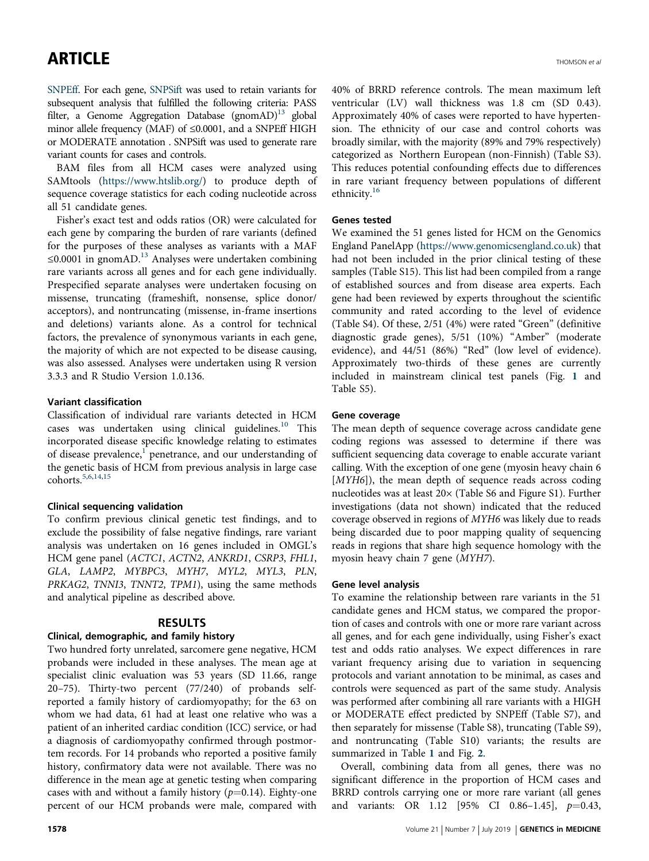[SNPEff](http://snpeff.sourceforge.net/SnpSift.html). For each gene, [SNPSift](http://snpeff.sourceforge.net/SnpSift.html) was used to retain variants for subsequent analysis that fulfilled the following criteria: PASS filter, a Genome Aggregation Database  $(gnomAD)^{13}$  $(gnomAD)^{13}$  $(gnomAD)^{13}$  global minor allele frequency (MAF) of ≤0.0001, and a SNPEff HIGH or MODERATE annotation . SNPSift was used to generate rare variant counts for cases and controls.

BAM files from all HCM cases were analyzed using SAMtools [\(https://www.htslib.org/\)](https://www.htslib.org/) to produce depth of sequence coverage statistics for each coding nucleotide across all 51 candidate genes.

Fisher's exact test and odds ratios (OR) were calculated for each gene by comparing the burden of rare variants (defined for the purposes of these analyses as variants with a MAF ≤0.0001 in gnomAD.[13](#page-8-0) Analyses were undertaken combining rare variants across all genes and for each gene individually. Prespecified separate analyses were undertaken focusing on missense, truncating (frameshift, nonsense, splice donor/ acceptors), and nontruncating (missense, in-frame insertions and deletions) variants alone. As a control for technical factors, the prevalence of synonymous variants in each gene, the majority of which are not expected to be disease causing, was also assessed. Analyses were undertaken using R version 3.3.3 and R Studio Version 1.0.136.

#### Variant classification

Classification of individual rare variants detected in HCM cases was undertaken using clinical guidelines.<sup>10</sup> This incorporated disease specific knowledge relating to estimates of disease prevalence,<sup>[1](#page-7-0)</sup> penetrance, and our understanding of the genetic basis of HCM from previous analysis in large case cohorts.<sup>[5](#page-7-0),[6](#page-7-0),[14](#page-8-0),[15](#page-8-0)</sup>

#### Clinical sequencing validation

To confirm previous clinical genetic test findings, and to exclude the possibility of false negative findings, rare variant analysis was undertaken on 16 genes included in OMGL's HCM gene panel (ACTC1, ACTN2, ANKRD1, CSRP3, FHL1, GLA, LAMP2, MYBPC3, MYH7, MYL2, MYL3, PLN, PRKAG2, TNNI3, TNNT2, TPM1), using the same methods and analytical pipeline as described above.

#### RESULTS

### Clinical, demographic, and family history

Two hundred forty unrelated, sarcomere gene negative, HCM probands were included in these analyses. The mean age at specialist clinic evaluation was 53 years (SD 11.66, range 20–75). Thirty-two percent (77/240) of probands selfreported a family history of cardiomyopathy; for the 63 on whom we had data, 61 had at least one relative who was a patient of an inherited cardiac condition (ICC) service, or had a diagnosis of cardiomyopathy confirmed through postmortem records. For 14 probands who reported a positive family history, confirmatory data were not available. There was no difference in the mean age at genetic testing when comparing cases with and without a family history  $(p=0.14)$ . Eighty-one percent of our HCM probands were male, compared with 40% of BRRD reference controls. The mean maximum left ventricular (LV) wall thickness was 1.8 cm (SD 0.43). Approximately 40% of cases were reported to have hypertension. The ethnicity of our case and control cohorts was broadly similar, with the majority (89% and 79% respectively) categorized as Northern European (non-Finnish) (Table S3). This reduces potential confounding effects due to differences in rare variant frequency between populations of different ethnicity.[16](#page-8-0)

#### Genes tested

We examined the 51 genes listed for HCM on the Genomics England PanelApp ([https://www.genomicsengland.co.uk\)](https://www.genomicsengland.co.uk) that had not been included in the prior clinical testing of these samples (Table S15). This list had been compiled from a range of established sources and from disease area experts. Each gene had been reviewed by experts throughout the scientific community and rated according to the level of evidence (Table S4). Of these, 2/51 (4%) were rated "Green" (definitive diagnostic grade genes), 5/51 (10%) "Amber" (moderate evidence), and 44/51 (86%) "Red" (low level of evidence). Approximately two-thirds of these genes are currently included in mainstream clinical test panels (Fig. [1](#page-3-0) and Table S5).

#### Gene coverage

The mean depth of sequence coverage across candidate gene coding regions was assessed to determine if there was sufficient sequencing data coverage to enable accurate variant calling. With the exception of one gene (myosin heavy chain 6 [MYH6]), the mean depth of sequence reads across coding nucleotides was at least 20× (Table S6 and Figure S1). Further investigations (data not shown) indicated that the reduced coverage observed in regions of MYH6 was likely due to reads being discarded due to poor mapping quality of sequencing reads in regions that share high sequence homology with the myosin heavy chain 7 gene (MYH7).

#### Gene level analysis

To examine the relationship between rare variants in the 51 candidate genes and HCM status, we compared the proportion of cases and controls with one or more rare variant across all genes, and for each gene individually, using Fisher's exact test and odds ratio analyses. We expect differences in rare variant frequency arising due to variation in sequencing protocols and variant annotation to be minimal, as cases and controls were sequenced as part of the same study. Analysis was performed after combining all rare variants with a HIGH or MODERATE effect predicted by SNPEff (Table S7), and then separately for missense (Table S8), truncating (Table S9), and nontruncating (Table S10) variants; the results are summarized in Table [1](#page-4-0) and Fig. [2](#page-5-0).

Overall, combining data from all genes, there was no significant difference in the proportion of HCM cases and BRRD controls carrying one or more rare variant (all genes and variants: OR 1.12 [95% CI 0.86-1.45],  $p=0.43$ ,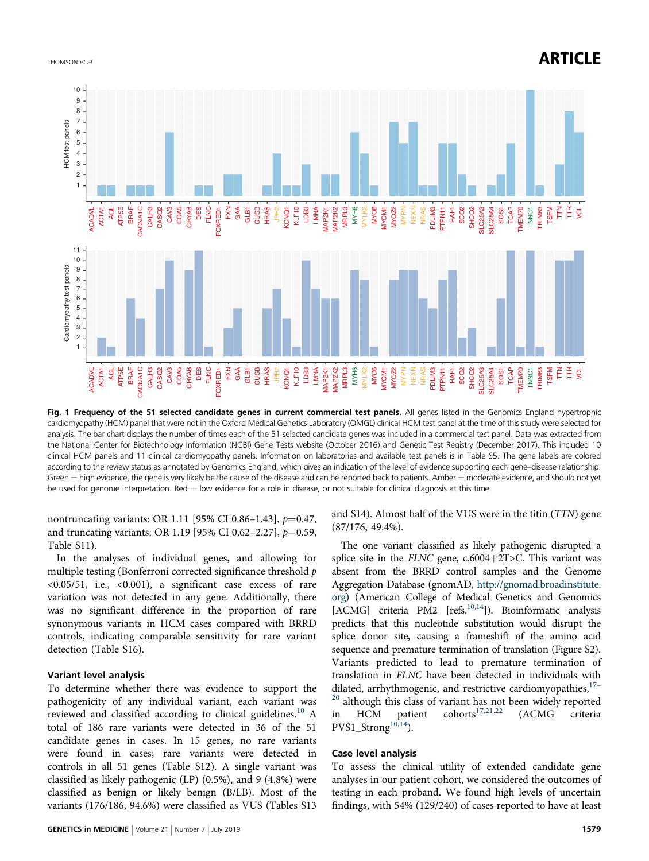<span id="page-3-0"></span>

Fig. 1 Frequency of the 51 selected candidate genes in current commercial test panels. All genes listed in the Genomics England hypertrophic cardiomyopathy (HCM) panel that were not in the Oxford Medical Genetics Laboratory (OMGL) clinical HCM test panel at the time of this study were selected for analysis. The bar chart displays the number of times each of the 51 selected candidate genes was included in a commercial test panel. Data was extracted from the National Center for Biotechnology Information (NCBI) Gene Tests website (October 2016) and Genetic Test Registry (December 2017). This included 10 clinical HCM panels and 11 clinical cardiomyopathy panels. Information on laboratories and available test panels is in Table S5. The gene labels are colored according to the review status as annotated by Genomics England, which gives an indication of the level of evidence supporting each gene–disease relationship: Green = high evidence, the gene is very likely be the cause of the disease and can be reported back to patients. Amber = moderate evidence, and should not yet be used for genome interpretation. Red  $=$  low evidence for a role in disease, or not suitable for clinical diagnosis at this time.

nontruncating variants: OR 1.11 [95% CI 0.86-1.43],  $p=0.47$ , and truncating variants: OR 1.19 [95% CI 0.62-2.27],  $p=0.59$ , Table S11).

In the analyses of individual genes, and allowing for multiple testing (Bonferroni corrected significance threshold p  $\langle 0.05/51, i.e., \langle 0.001 \rangle$ , a significant case excess of rare variation was not detected in any gene. Additionally, there was no significant difference in the proportion of rare synonymous variants in HCM cases compared with BRRD controls, indicating comparable sensitivity for rare variant detection (Table S16).

#### Variant level analysis

To determine whether there was evidence to support the pathogenicity of any individual variant, each variant was reviewed and classified according to clinical guidelines.<sup>10</sup> A total of 186 rare variants were detected in 36 of the 51 candidate genes in cases. In 15 genes, no rare variants were found in cases; rare variants were detected in controls in all 51 genes (Table S12). A single variant was classified as likely pathogenic (LP) (0.5%), and 9 (4.8%) were classified as benign or likely benign (B/LB). Most of the variants (176/186, 94.6%) were classified as VUS (Tables S13 and S14). Almost half of the VUS were in the titin (TTN) gene (87/176, 49.4%).

The one variant classified as likely pathogenic disrupted a splice site in the FLNC gene, c.6004+2T>C. This variant was absent from the BRRD control samples and the Genome Aggregation Database (gnomAD, [http://gnomad.broadinstitute.](http://gnomad.broadinstitute.org) [org](http://gnomad.broadinstitute.org)) (American College of Medical Genetics and Genomics [ACMG] criteria PM2 [refs.<sup>[10,](#page-7-0)14</sup>]). Bioinformatic analysis predicts that this nucleotide substitution would disrupt the splice donor site, causing a frameshift of the amino acid sequence and premature termination of translation (Figure S2). Variants predicted to lead to premature termination of translation in FLNC have been detected in individuals with dilated, arrhythmogenic, and restrictive cardiomyopathies, $17 17-$ <sup>[20](#page-8-0)</sup> although this class of variant has not been widely reported in HCM patient cohorts<sup>[17,21,22](#page-8-0)</sup> (ACMG criteria  $PVS1\_Strong^{10,14}$  $PVS1\_Strong^{10,14}$  $PVS1\_Strong^{10,14}$ ).

#### Case level analysis

To assess the clinical utility of extended candidate gene analyses in our patient cohort, we considered the outcomes of testing in each proband. We found high levels of uncertain findings, with 54% (129/240) of cases reported to have at least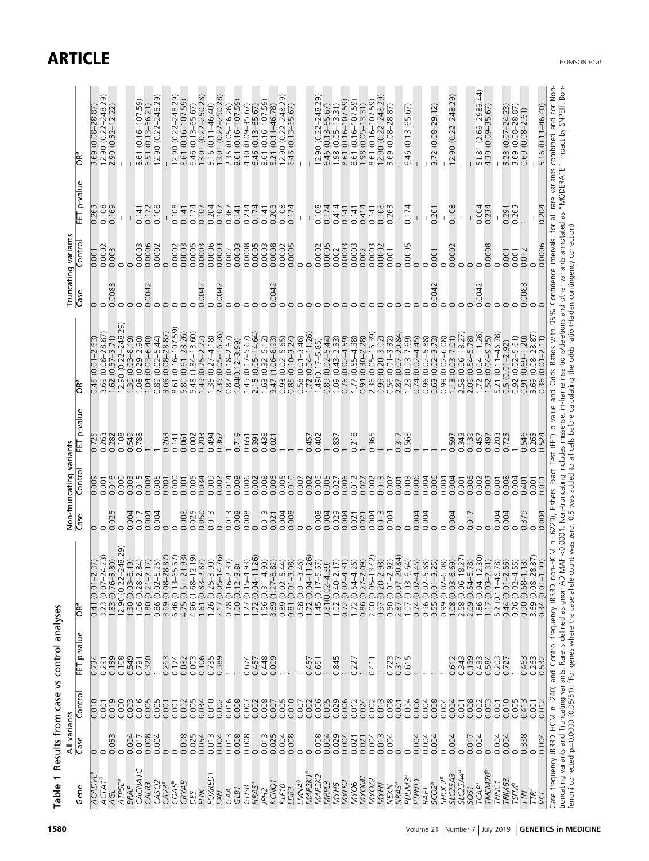<span id="page-4-0"></span>

| All variants<br><b>Case</b>                          |                                                                 |                                  | <b>P</b> <sub>e</sub>                                                                                                                                                                                                                                                                                                                     |                            | Non-truncating variants |                  | <b>Ped</b>                                                                                          |                   | Truncating variants                             |                |                                          |
|------------------------------------------------------|-----------------------------------------------------------------|----------------------------------|-------------------------------------------------------------------------------------------------------------------------------------------------------------------------------------------------------------------------------------------------------------------------------------------------------------------------------------------|----------------------------|-------------------------|------------------|-----------------------------------------------------------------------------------------------------|-------------------|-------------------------------------------------|----------------|------------------------------------------|
|                                                      | Control                                                         | FET p-value                      |                                                                                                                                                                                                                                                                                                                                           | Case                       | Control                 | FET p-value      |                                                                                                     | Case              | Control                                         | FET p-value    | ႞ႄ                                       |
| $\begin{matrix} 0.33 \\ 0.030 \\ 0.000 \end{matrix}$ | 0.010                                                           | 0.734                            | ⊂<br>$0.41(0.01 - 2.3)$                                                                                                                                                                                                                                                                                                                   | $\circ$                    | 0.009                   | 0.725            | $0.45(0.01 - 2.63)$                                                                                 | $\circ$           | 0.001                                           | 0.263          | 3.69 (0.08-28.87)                        |
|                                                      | 0.001                                                           | 0.291<br>0.139                   | $\begin{array}{l} 3.74\, (50\,0\,7\, -24.23)\\ 1.83\, (0.76\!-\!3.80)\\ 1.83\, (0.76\!-\!3.80)\\ 1.290\, (0.22\!-\!248.29)\\ 1.30\, (0.03\!-\!8.19)\\ 1.66\, (0.28\!-\!2.84)\\ 1.68\, (0.21\!-\!7.17)\\ 3.69\, (0.08\!-\!28.87)\\ 4.75\, (0.51\!-\!2.19)\\ 4.75\,$                                                                        | 0.025<br>$\circ$           | 0.016<br>0.001          | 0.263<br>0.282   | $(0.08 - 28.87)$<br>$1.62(0.57 - 3.71)$<br>3.69                                                     | 0.0083<br>$\circ$ | 0.0002<br>0.003                                 | 0.108          | 12.90 (0.22-248.29)<br>2.90 (0.32-12.22) |
|                                                      | 0.000                                                           | 0.108                            |                                                                                                                                                                                                                                                                                                                                           | $\circ$                    | 0.000                   | 0.108            | 2.90 (0.22-248.29)                                                                                  |                   |                                                 |                |                                          |
| 0.004                                                | 0.003                                                           | 0.549                            |                                                                                                                                                                                                                                                                                                                                           | 0.004                      | 0.003                   | 0.549            | $1.30(0.03 - 8.19)$                                                                                 | $\circ$           | $\circ$                                         |                |                                          |
| $\circ$<br>0.017                                     | 016                                                             | 0.791<br>0.320                   |                                                                                                                                                                                                                                                                                                                                           | 0.017                      | 0.015                   | 0.788            | $(0.29 - 2.90)$<br>1.08                                                                             | 0.0042            | 0.0003                                          | 0.141          | $(0.16 - 107.59)$<br>8.61                |
| 0.008                                                |                                                                 |                                  |                                                                                                                                                                                                                                                                                                                                           | 0.004<br>004<br>$\circ$    | 0.004<br>0.005          |                  | $.04(0.03 - 6.40)$<br>$(0.02 - 5.44)$<br>0.89                                                       |                   | 0.0006<br>0.0002                                | 0.108<br>0.172 | 12.90 (0.22-248.29)<br>6.51 (0.13-66.21) |
|                                                      | 005<br>0005<br>000000<br>000000                                 |                                  |                                                                                                                                                                                                                                                                                                                                           |                            | 0.001                   | 263<br>ö         | $(0.08 - 28.87)$<br>3.69                                                                            | 0000              |                                                 |                |                                          |
|                                                      |                                                                 |                                  |                                                                                                                                                                                                                                                                                                                                           | $\circ$ $\circ$ $\circ$    | 0.000                   | 0.141            | $(0.16 - 107.59)$<br>8.61                                                                           |                   | 0.0002                                          | 0.108          | 12.90 (0.22-248.29                       |
|                                                      |                                                                 | 0.263<br>0.174<br>0.082<br>0.003 |                                                                                                                                                                                                                                                                                                                                           | .008                       | 0.001                   | 0.061            | $(0.61 - 28.26)$<br>5.80                                                                            |                   |                                                 | 0.141          | 8.61 (0.16-107.59)                       |
|                                                      |                                                                 |                                  |                                                                                                                                                                                                                                                                                                                                           | 0.025                      | 0.005                   | 0.002            | $(1.84 - 13.60)$<br>5.48                                                                            | 0.0042            | 0.0003<br>0.0005<br>0.0003                      | 0.174          | 6.46 (0.13-65.67)                        |
|                                                      | 0.010                                                           | 0.106                            |                                                                                                                                                                                                                                                                                                                                           |                            | 0.034                   | 0.203            | $1.49(0.75 - 2.72)$                                                                                 |                   |                                                 | 0.107<br>0.204 | 13.01 (0.22-250.28)                      |
|                                                      | 0.002                                                           | 0.735                            | 1.61 $(0.83-2.87)$<br>1.26 $(0.25-3.90)$<br>2.17 $(0.05-14.76)$                                                                                                                                                                                                                                                                           | 013<br>ö<br>$\circ$        | 0.009<br>0.002          | 494<br>367<br>oo | 2.35 (0.05-16.26)<br>$(0.27 - 4.18)$<br>LN.<br>$\frac{5}{2}$                                        | 0.0042            | 0.0006<br>0.0003                                | 0.107          | 13.01 (0.22-250.28)<br>5.16 (0.11-46.40) |
| ö                                                    | 016                                                             |                                  | $0.78(0.16 - 2.39)$                                                                                                                                                                                                                                                                                                                       | $-013$<br>$\circ$          | 0.014                   |                  | $(0.18 - 2.67)$<br>0.87                                                                             |                   | 0.002                                           | 0.367          | 2.35 (0.05-16.26)                        |
|                                                      | 0.008                                                           |                                  | $1.00(0.12 - 3.8)$                                                                                                                                                                                                                                                                                                                        | 0.008                      | 0.008                   | 0.719            | $1.04(0.12 - 3.99)$                                                                                 |                   | 0.0003                                          | 0.141          | 8.61 (0.16-107.59)                       |
|                                                      |                                                                 | 0.674                            |                                                                                                                                                                                                                                                                                                                                           | 0.008                      | 0.006                   | 0.651            | $(0.17 - 5.67)$<br>1.45                                                                             |                   | 0.0008                                          | 0.234          | 4.30 (0.09-35.67)                        |
|                                                      | 0.007                                                           | 0.457                            | $1.27(0.15 - 4.93)$<br>$1.72(0.04 - 11.26)$                                                                                                                                                                                                                                                                                               | $\circ$                    | 0.002                   | 0.391            | 2.15 (0.05-14.64)                                                                                   | 00000             | 0.0005                                          | 0.174          | 6.46 (0.13-65.67)                        |
|                                                      | 0.008<br>0.007<br>0.005                                         | 0.448                            |                                                                                                                                                                                                                                                                                                                                           | $\circ$                    | 0.008                   | 0.438            | $(0.32 - 5.12)$<br>1.63                                                                             |                   | 0.0003                                          | 0.141          | $(0.16 - 107.59)$                        |
|                                                      |                                                                 | 0.009                            |                                                                                                                                                                                                                                                                                                                                           | 0.013                      | 0.006                   | 0.021            | $(1.06 - 8.93)$<br>3.47 <sub>0</sub>                                                                | 0.0042            | 0.0008                                          | 0.203          | 8.61 (0.16-107.59)<br>5.21 (0.11-46.78)  |
|                                                      |                                                                 |                                  |                                                                                                                                                                                                                                                                                                                                           | 008<br>oo                  | 0.005                   |                  | $(0.02 - 5.65)$<br>0.93                                                                             |                   | 0.0002<br>0.0005                                | 0.108          | 12.90 (0.22-248.29)<br>6.46 (0.13-65.67) |
|                                                      | 0.010                                                           |                                  | $1.56(0.31 - 4.90)$<br>$3.56(0.31 - 4.90)$<br>$3.69(1.27 - 8.82)$<br>$0.89(0.02 - 5.44)$<br>$0.81(0.01 - 3.08)$<br>$0.58(0.01 - 3.46)$                                                                                                                                                                                                    |                            | 0.010                   |                  | $0.85(0.10 - 3.24)$                                                                                 |                   |                                                 | 0.174          |                                          |
| 388 388<br>5000 5000<br>5000 50000                   | 0.007<br>0.002                                                  | 0.457                            |                                                                                                                                                                                                                                                                                                                                           | $\circ$                    | 0.007<br>0.002          | 457<br>ö         | $1.72(0.04 - 11.26)$<br>$0.58(0.01 - 3.46)$                                                         | 0000              | $\circ$                                         |                |                                          |
|                                                      | 0.006                                                           | 0.651                            | $1.72(0.04-11.26)$<br>$1.45(0.17-5.67)$                                                                                                                                                                                                                                                                                                   | 008<br>$\circ$             | 0.006                   | 0.402            | $1.49(0.17 - 5.85)$                                                                                 | $\circ$           | 0.0002                                          | 0.108          | 12.90 (0.22-248.29)                      |
| 0.004                                                | 0.005                                                           |                                  |                                                                                                                                                                                                                                                                                                                                           | 0.004                      |                         |                  | $0.89(0.02 - 5.44)$                                                                                 | $\circ$           | 0.0005                                          | 0.174          |                                          |
| $\circ$                                              | 029                                                             | 0.845                            | $\begin{array}{l} 0.81(0.02\!-\!4.89)\\ 1.02(0.40\!-\!2.17)\\ 0.72(0.02\!-\!4.31)\\ 1.72(0.02\!-\!4.26)\\ 1.72(0.54\!-\!4.26)\\ 0.86(0.27\!-\!2.09) \end{array}$                                                                                                                                                                          | 0.029                      | 0.005                   | 837              | 1.09                                                                                                |                   | 0.002                                           | 0.414          | 6.46 (0.13-65.67)<br>1.98 (0.05-13.31)   |
|                                                      | 0.006<br>0.012                                                  |                                  |                                                                                                                                                                                                                                                                                                                                           | 0.004                      | 0.006                   |                  | $(0.43 - 2.33)$<br>$(0.02 - 4.59)$<br>$(0.55 - 4.38)$<br>$(0.55 - 4.38)$<br>$(0.30 - 2.28)$<br>0.76 | 0000              | 0.0003                                          | 0.141          | $(0.16 - 107.59)$<br>8.61                |
| 0.029<br>0.004<br>0.021<br>0.021                     |                                                                 | 0.227                            |                                                                                                                                                                                                                                                                                                                                           | 0.021                      | 0.012                   | 218              | 1.77                                                                                                |                   | 0.0003                                          | 0.141          | $(0.16 - 107.59)$<br>8.61                |
|                                                      | 0.024                                                           |                                  |                                                                                                                                                                                                                                                                                                                                           | 0.021                      | 0.022                   |                  | 0.94                                                                                                |                   | 0.002                                           | 0.414          | $1.98(0.05 - 13.31)$                     |
| 0.004                                                | 0.002                                                           | 0.411                            | $2.00(0.05-13.42)$<br>0.97 (0.20-2.98)                                                                                                                                                                                                                                                                                                    | 0.004                      | 0.002                   | 365<br>ö         | $(0.05 - 16.39)$<br>2.36                                                                            | $\circ$           | 0.0003                                          | 0.141          | $(0.16 - 107.59)$<br>8.61                |
|                                                      | 0.013                                                           |                                  |                                                                                                                                                                                                                                                                                                                                           | 0.013                      | 0.013                   |                  | $(0.20 - 3.02)$<br>0.99                                                                             |                   | 0.0002                                          | 0.108          | 12.90 (0.22-248.29)                      |
|                                                      | 0.008                                                           | 0.723<br>0.317<br>0.615          | $\widehat{23}$<br>ᡋᢩ<br>2.87 (0.07-20.<br>$50(0.01 - 2)$<br>ö                                                                                                                                                                                                                                                                             | 004<br>$\circ \circ \circ$ | 0.001<br>0.007          | 317<br>ö         | $(0.07 - 20.84)$<br>$(0.01 - 3.32)$<br>56<br>2.87<br>ö                                              | $\circ$           | 0.001<br>$\circ$                                | 0.263          | 3.69 (0.08-28.87)                        |
|                                                      | $0.001$<br>$0.004$                                              |                                  | $(0.03 - 6.6)$<br>1.07                                                                                                                                                                                                                                                                                                                    |                            | 0.003                   | 568<br>ö         | $(0.03 - 7.69)$<br>1.23                                                                             | $\circ$           |                                                 | 0.174          | $6.46(0.13 - 65.67)$                     |
|                                                      | 0.006                                                           |                                  | $\oplus$ $\cong$ $\cong$ $\otimes$ $\cong$ $\otimes$<br>$0.74(0.02 - 4.4)$                                                                                                                                                                                                                                                                | 0.004                      | 0.006                   |                  | $(0.02 - 4.45)$<br>0.74                                                                             | $\circ$           | $\begin{array}{c} 0.0005 \\ 0 \\ 0 \end{array}$ |                |                                          |
|                                                      | 0.004                                                           |                                  |                                                                                                                                                                                                                                                                                                                                           |                            | 0.004                   |                  | $(0.02 - 5.88)$<br>$(0.02 - 3.73)$<br>0.96                                                          |                   |                                                 |                |                                          |
|                                                      | 0.008                                                           |                                  |                                                                                                                                                                                                                                                                                                                                           |                            | 0.006                   |                  | 0.63                                                                                                |                   | 0.001                                           | 0.261          | $3.72(0.08 - 29.12)$                     |
| 0.004                                                | 0.004                                                           |                                  | $\begin{array}{c} 0.96\ (0.02\text{--}5.88\\ 0.55\ (0.01\text{--}3.25\\ 0.99\ (0.02\text{--}6.08\\ 1.08\ (0.03\text{--}6.69\\ \end{array}$                                                                                                                                                                                                | 0.004                      | 0.004                   |                  | $(0.02 - 6.08)$<br>99<br>$\overline{a}$                                                             | 0.0042            | $\circ$                                         |                |                                          |
|                                                      | 0.004                                                           | 0.612                            | ରି                                                                                                                                                                                                                                                                                                                                        |                            | 0.004                   | 0.597            | $(0.03 - 7.01)$<br>1.13                                                                             |                   | 0.0002                                          | 0.108          | 12.90 (0.22-248.29)                      |
| 0.017                                                | 0.008<br>0.001                                                  | 0.139<br>0.343                   | ନ୍ମ<br>ମୃକ୍ ନିକୁ ବାହାନ୍ତ<br>2.58 (0.06-18<br>$2.09(0.54 - 5.7)$                                                                                                                                                                                                                                                                           | 0.017<br>$\circ$           | 0.008<br>0.001          | 0.343<br>0.139   | $(0.06 - 18.27)$<br>$(0.54 - 5.78)$<br>2.58<br>2.09                                                 | $\circ$           | $\circ$                                         |                |                                          |
|                                                      | 0.002                                                           | 0.433                            | 1.86 (0.04-12                                                                                                                                                                                                                                                                                                                             |                            | 0.002                   | 0.457            | $(0.04 - 11.26)$<br>1.72                                                                            | 0.0042            | $\circ$                                         | 0.004          | 51.81 (2.69-2989.44)                     |
| 0.004                                                | 0.003                                                           | 0.584                            | $1.17(0.03 - 7.3)$                                                                                                                                                                                                                                                                                                                        | $\circ$                    | 0.003                   | 0.497            | $(0.04 - 9.75)$                                                                                     |                   | 0.0008                                          | 0.234          | 4.30 (0.09-35.67)                        |
|                                                      | 0.001                                                           |                                  |                                                                                                                                                                                                                                                                                                                                           |                            | 0.001                   |                  | $(0.11 - 46.78)$<br>$1.52$ (<br>5.21 (                                                              |                   | $\circ$                                         |                |                                          |
|                                                      | 0.010                                                           | 0.203                            | 5.2 (0.11-46.78<br>0.44 (0.01-2.56                                                                                                                                                                                                                                                                                                        | 0.004                      | 0.008                   | 0.203            | $5(0.01 - 2.92)$<br>ö                                                                               |                   | 0.001                                           | 0.291          | $(0.07 - 24.23)$<br>3.23                 |
|                                                      |                                                                 |                                  |                                                                                                                                                                                                                                                                                                                                           | 0.379                      | 0.004                   |                  | $(0.02 - 5.61)$<br>92<br>ö                                                                          |                   | 0.001                                           | 0.263          | $(0.08 - 28.87)$<br>$(0.08 - 2.61)$      |
| 00000000000                                          | $\begin{array}{c} 0.005 \\ 0.413 \\ 0.001 \\ 0.012 \end{array}$ | 0.463                            | $\begin{array}{c} 0.76\ (0.02\text{--}4.55\ \phantom{.0}0.90\ (0.68\text{--}1.18\ \phantom{.0}1.18\ \phantom{.0}3.69\ (0.08\text{--}28.8\ \phantom{.0}8.34\ (0.01\text{--}1.99\ \phantom{.0}0.01\ \phantom{.0}0.01\ \phantom{.0}0.01\ \phantom{.0}0.01\ \phantom{.0}0.01\ \phantom{.0}0.01\ \phantom{.0}0.01\ \phantom{.0}0.01\ \phantom$ |                            | 0.401                   | 0.546            | $(0.69 - 1.20)$<br>0.91                                                                             |                   | 0.012                                           |                |                                          |
|                                                      |                                                                 | 0.263<br>0.532                   | $\overline{87}$                                                                                                                                                                                                                                                                                                                           | $\circ$                    | 0.001                   | 263<br>ö         | $(0.08 - 28.87)$<br>69                                                                              |                   | $\circ$                                         |                |                                          |
| 0.004                                                |                                                                 |                                  | ெ<br>$34(0.01 - 1.9)$                                                                                                                                                                                                                                                                                                                     | 0.004                      | 0.011                   | 0.524            | $(0.01 - 2.11)$<br>36<br>d                                                                          |                   | 0.0006                                          | 0.204          | 5.16 (0.11-46.40)                        |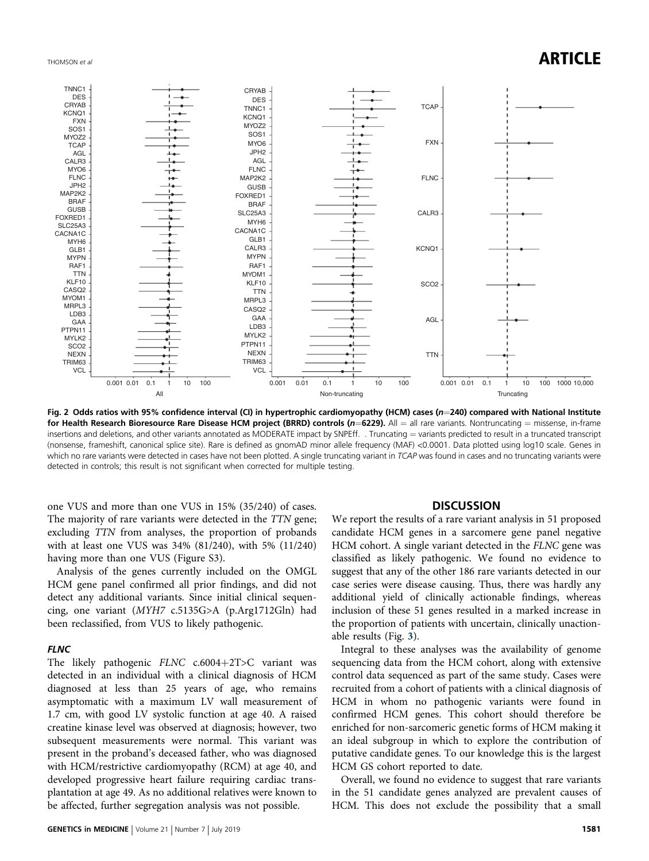<span id="page-5-0"></span>



Fig. 2 Odds ratios with 95% confidence interval (CI) in hypertrophic cardiomyopathy (HCM) cases (n=240) compared with National Institute for Health Research Bioresource Rare Disease HCM project (BRRD) controls ( $n=6229$ ). All = all rare variants. Nontruncating = missense, in-frame insertions and deletions, and other variants annotated as MODERATE impact by SNPEff. . Truncating = variants predicted to result in a truncated transcript (nonsense, frameshift, canonical splice site). Rare is defined as gnomAD minor allele frequency (MAF) <0.0001. Data plotted using log10 scale. Genes in which no rare variants were detected in cases have not been plotted. A single truncating variant in TCAP was found in cases and no truncating variants were detected in controls; this result is not significant when corrected for multiple testing.

one VUS and more than one VUS in 15% (35/240) of cases. The majority of rare variants were detected in the TTN gene; excluding TTN from analyses, the proportion of probands with at least one VUS was 34% (81/240), with 5% (11/240) having more than one VUS (Figure S3).

Analysis of the genes currently included on the OMGL HCM gene panel confirmed all prior findings, and did not detect any additional variants. Since initial clinical sequencing, one variant (MYH7 c.5135G>A (p.Arg1712Gln) had been reclassified, from VUS to likely pathogenic.

#### FLNC

The likely pathogenic FLNC c.6004+2T>C variant was detected in an individual with a clinical diagnosis of HCM diagnosed at less than 25 years of age, who remains asymptomatic with a maximum LV wall measurement of 1.7 cm, with good LV systolic function at age 40. A raised creatine kinase level was observed at diagnosis; however, two subsequent measurements were normal. This variant was present in the proband's deceased father, who was diagnosed with HCM/restrictive cardiomyopathy (RCM) at age 40, and developed progressive heart failure requiring cardiac transplantation at age 49. As no additional relatives were known to be affected, further segregation analysis was not possible.

#### **DISCUSSION**

We report the results of a rare variant analysis in 51 proposed candidate HCM genes in a sarcomere gene panel negative HCM cohort. A single variant detected in the FLNC gene was classified as likely pathogenic. We found no evidence to suggest that any of the other 186 rare variants detected in our case series were disease causing. Thus, there was hardly any additional yield of clinically actionable findings, whereas inclusion of these 51 genes resulted in a marked increase in the proportion of patients with uncertain, clinically unactionable results (Fig. [3](#page-6-0)).

Integral to these analyses was the availability of genome sequencing data from the HCM cohort, along with extensive control data sequenced as part of the same study. Cases were recruited from a cohort of patients with a clinical diagnosis of HCM in whom no pathogenic variants were found in confirmed HCM genes. This cohort should therefore be enriched for non-sarcomeric genetic forms of HCM making it an ideal subgroup in which to explore the contribution of putative candidate genes. To our knowledge this is the largest HCM GS cohort reported to date.

Overall, we found no evidence to suggest that rare variants in the 51 candidate genes analyzed are prevalent causes of HCM. This does not exclude the possibility that a small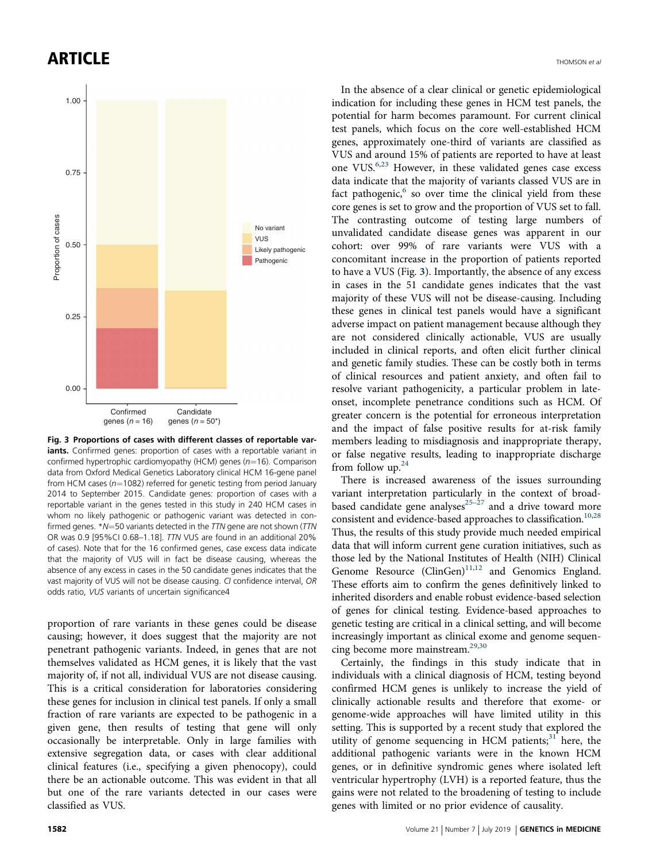<span id="page-6-0"></span>

Fig. 3 Proportions of cases with different classes of reportable variants. Confirmed genes: proportion of cases with a reportable variant in confirmed hypertrophic cardiomyopathy (HCM) genes ( $n=16$ ). Comparison data from Oxford Medical Genetics Laboratory clinical HCM 16-gene panel from HCM cases ( $n=1082$ ) referred for genetic testing from period January 2014 to September 2015. Candidate genes: proportion of cases with a reportable variant in the genes tested in this study in 240 HCM cases in whom no likely pathogenic or pathogenic variant was detected in confirmed genes.  $*N=50$  variants detected in the TTN gene are not shown (TTN OR was 0.9 [95%CI 0.68–1.18]. TTN VUS are found in an additional 20% of cases). Note that for the 16 confirmed genes, case excess data indicate that the majority of VUS will in fact be disease causing, whereas the absence of any excess in cases in the 50 candidate genes indicates that the vast majority of VUS will not be disease causing. CI confidence interval, OR odds ratio, VUS variants of uncertain significance4

proportion of rare variants in these genes could be disease causing; however, it does suggest that the majority are not penetrant pathogenic variants. Indeed, in genes that are not themselves validated as HCM genes, it is likely that the vast majority of, if not all, individual VUS are not disease causing. This is a critical consideration for laboratories considering these genes for inclusion in clinical test panels. If only a small fraction of rare variants are expected to be pathogenic in a given gene, then results of testing that gene will only occasionally be interpretable. Only in large families with extensive segregation data, or cases with clear additional clinical features (i.e., specifying a given phenocopy), could there be an actionable outcome. This was evident in that all but one of the rare variants detected in our cases were classified as VUS.

In the absence of a clear clinical or genetic epidemiological indication for including these genes in HCM test panels, the potential for harm becomes paramount. For current clinical test panels, which focus on the core well-established HCM genes, approximately one-third of variants are classified as VUS and around 15% of patients are reported to have at least one VUS.<sup>[6](#page-7-0),[23](#page-8-0)</sup> However, in these validated genes case excess data indicate that the majority of variants classed VUS are in fact pathogenic, $6$  so over time the clinical yield from these core genes is set to grow and the proportion of VUS set to fall. The contrasting outcome of testing large numbers of unvalidated candidate disease genes was apparent in our cohort: over 99% of rare variants were VUS with a concomitant increase in the proportion of patients reported to have a VUS (Fig. 3). Importantly, the absence of any excess in cases in the 51 candidate genes indicates that the vast majority of these VUS will not be disease-causing. Including these genes in clinical test panels would have a significant adverse impact on patient management because although they are not considered clinically actionable, VUS are usually included in clinical reports, and often elicit further clinical and genetic family studies. These can be costly both in terms of clinical resources and patient anxiety, and often fail to resolve variant pathogenicity, a particular problem in lateonset, incomplete penetrance conditions such as HCM. Of greater concern is the potential for erroneous interpretation and the impact of false positive results for at-risk family members leading to misdiagnosis and inappropriate therapy, or false negative results, leading to inappropriate discharge from follow up. $^{24}$  $^{24}$  $^{24}$ 

There is increased awareness of the issues surrounding variant interpretation particularly in the context of broad-based candidate gene analyses<sup>[25](#page-8-0)-[27](#page-8-0)</sup> and a drive toward more consistent and evidence-based approaches to classification.<sup>[10](#page-7-0),[28](#page-8-0)</sup> Thus, the results of this study provide much needed empirical data that will inform current gene curation initiatives, such as those led by the National Institutes of Health (NIH) Clinical Genome Resource  $(ClinGen)^{11,12}$  $(ClinGen)^{11,12}$  $(ClinGen)^{11,12}$  and Genomics England. These efforts aim to confirm the genes definitively linked to inherited disorders and enable robust evidence-based selection of genes for clinical testing. Evidence-based approaches to genetic testing are critical in a clinical setting, and will become increasingly important as clinical exome and genome sequen-cing become more mainstream.<sup>29,[30](#page-8-0)</sup>

Certainly, the findings in this study indicate that in individuals with a clinical diagnosis of HCM, testing beyond confirmed HCM genes is unlikely to increase the yield of clinically actionable results and therefore that exome- or genome-wide approaches will have limited utility in this setting. This is supported by a recent study that explored the utility of genome sequencing in HCM patients; $31$  here, the additional pathogenic variants were in the known HCM genes, or in definitive syndromic genes where isolated left ventricular hypertrophy (LVH) is a reported feature, thus the gains were not related to the broadening of testing to include genes with limited or no prior evidence of causality.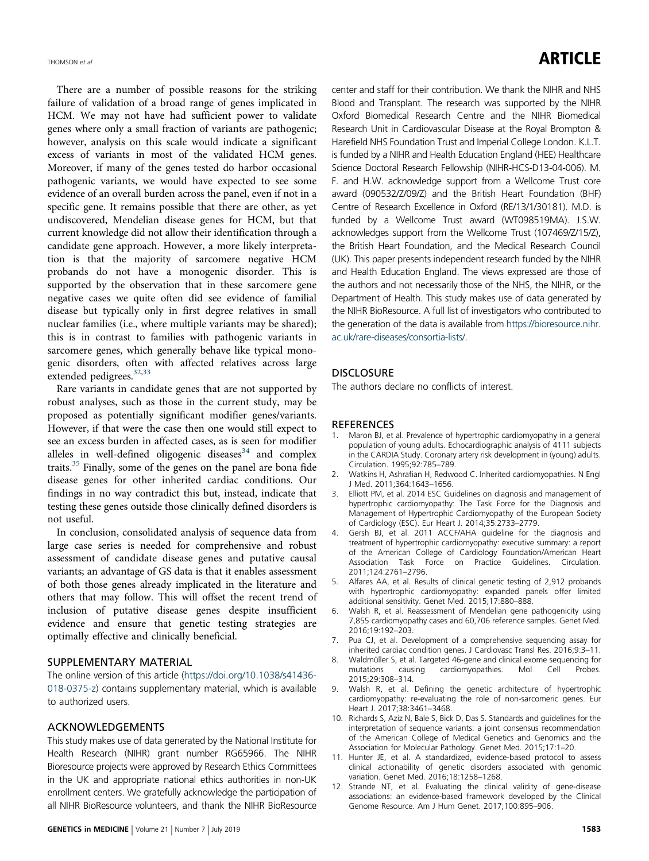There are a number of possible reasons for the striking failure of validation of a broad range of genes implicated in HCM. We may not have had sufficient power to validate genes where only a small fraction of variants are pathogenic; however, analysis on this scale would indicate a significant excess of variants in most of the validated HCM genes. Moreover, if many of the genes tested do harbor occasional pathogenic variants, we would have expected to see some evidence of an overall burden across the panel, even if not in a specific gene. It remains possible that there are other, as yet undiscovered, Mendelian disease genes for HCM, but that current knowledge did not allow their identification through a candidate gene approach. However, a more likely interpretation is that the majority of sarcomere negative HCM probands do not have a monogenic disorder. This is supported by the observation that in these sarcomere gene negative cases we quite often did see evidence of familial disease but typically only in first degree relatives in small nuclear families (i.e., where multiple variants may be shared); this is in contrast to families with pathogenic variants in sarcomere genes, which generally behave like typical monogenic disorders, often with affected relatives across large extended pedigrees.<sup>[32,33](#page-8-0)</sup>

Rare variants in candidate genes that are not supported by robust analyses, such as those in the current study, may be proposed as potentially significant modifier genes/variants. However, if that were the case then one would still expect to see an excess burden in affected cases, as is seen for modifier alleles in well-defined oligogenic diseases $34$  and complex traits.[35](#page-8-0) Finally, some of the genes on the panel are bona fide disease genes for other inherited cardiac conditions. Our findings in no way contradict this but, instead, indicate that testing these genes outside those clinically defined disorders is not useful.

In conclusion, consolidated analysis of sequence data from large case series is needed for comprehensive and robust assessment of candidate disease genes and putative causal variants; an advantage of GS data is that it enables assessment of both those genes already implicated in the literature and others that may follow. This will offset the recent trend of inclusion of putative disease genes despite insufficient evidence and ensure that genetic testing strategies are optimally effective and clinically beneficial.

#### SUPPLEMENTARY MATERIAL

The online version of this article [\(https://doi.org/10.1038/s41436-](https://doi.org/10.1038/s41436-018-0375-z) [018-0375-z\)](https://doi.org/10.1038/s41436-018-0375-z) contains supplementary material, which is available to authorized users.

#### ACKNOWLEDGEMENTS

This study makes use of data generated by the National Institute for Health Research (NIHR) grant number RG65966. The NIHR Bioresource projects were approved by Research Ethics Committees in the UK and appropriate national ethics authorities in non-UK enrollment centers. We gratefully acknowledge the participation of all NIHR BioResource volunteers, and thank the NIHR BioResource

### <span id="page-7-0"></span>THOMSON et al  $\blacksquare$

center and staff for their contribution. We thank the NIHR and NHS Blood and Transplant. The research was supported by the NIHR Oxford Biomedical Research Centre and the NIHR Biomedical Research Unit in Cardiovascular Disease at the Royal Brompton & Harefield NHS Foundation Trust and Imperial College London. K.L.T. is funded by a NIHR and Health Education England (HEE) Healthcare Science Doctoral Research Fellowship (NIHR-HCS-D13-04-006). M. F. and H.W. acknowledge support from a Wellcome Trust core award (090532/Z/09/Z) and the British Heart Foundation (BHF) Centre of Research Excellence in Oxford (RE/13/1/30181). M.D. is funded by a Wellcome Trust award (WT098519MA). J.S.W. acknowledges support from the Wellcome Trust (107469/Z/15/Z), the British Heart Foundation, and the Medical Research Council (UK). This paper presents independent research funded by the NIHR and Health Education England. The views expressed are those of the authors and not necessarily those of the NHS, the NIHR, or the Department of Health. This study makes use of data generated by the NIHR BioResource. A full list of investigators who contributed to the generation of the data is available from [https://bioresource.nihr.](https://bioresource.nihr.ac.uk/rare-diseases/consortia-lists/) [ac.uk/rare-diseases/consortia-lists/.](https://bioresource.nihr.ac.uk/rare-diseases/consortia-lists/)

#### **DISCLOSURE**

The authors declare no conflicts of interest.

#### **REFERENCES**

- Maron BJ, et al. Prevalence of hypertrophic cardiomyopathy in a general population of young adults. Echocardiographic analysis of 4111 subjects in the CARDIA Study. Coronary artery risk development in (young) adults. Circulation. 1995;92:785–789.
- 2. Watkins H, Ashrafian H, Redwood C. Inherited cardiomyopathies. N Engl J Med. 2011;364:1643–1656.
- 3. Elliott PM, et al. 2014 ESC Guidelines on diagnosis and management of hypertrophic cardiomyopathy: The Task Force for the Diagnosis and Management of Hypertrophic Cardiomyopathy of the European Society of Cardiology (ESC). Eur Heart J. 2014;35:2733–2779.
- 4. Gersh BJ, et al. 2011 ACCF/AHA guideline for the diagnosis and treatment of hypertrophic cardiomyopathy: executive summary: a report of the American College of Cardiology Foundation/American Heart Association Task Force on Practice Guidelines. Circulation. 2011;124:2761–2796.
- 5. Alfares AA, et al. Results of clinical genetic testing of 2,912 probands with hypertrophic cardiomyopathy: expanded panels offer limited additional sensitivity. Genet Med. 2015;17:880–888.
- Walsh R, et al. Reassessment of Mendelian gene pathogenicity using 7,855 cardiomyopathy cases and 60,706 reference samples. Genet Med. 2016;19:192–203.
- 7. Pua CJ, et al. Development of a comprehensive sequencing assay for inherited cardiac condition genes. J Cardiovasc Transl Res. 2016;9:3–11.
- 8. Waldmüller S, et al. Targeted 46-gene and clinical exome sequencing for mutations causing cardiomyopathies. Mol Cell Probes. mutations causing cardiomyopathies. Mol Cell Probes. 2015;29:308–314.
- 9. Walsh R, et al. Defining the genetic architecture of hypertrophic cardiomyopathy: re-evaluating the role of non-sarcomeric genes. Eur Heart J. 2017;38:3461–3468.
- 10. Richards S, Aziz N, Bale S, Bick D, Das S. Standards and guidelines for the interpretation of sequence variants: a joint consensus recommendation of the American College of Medical Genetics and Genomics and the Association for Molecular Pathology. Genet Med. 2015;17:1–20.
- 11. Hunter JE, et al. A standardized, evidence-based protocol to assess clinical actionability of genetic disorders associated with genomic variation. Genet Med. 2016;18:1258–1268.
- 12. Strande NT, et al. Evaluating the clinical validity of gene-disease associations: an evidence-based framework developed by the Clinical Genome Resource. Am J Hum Genet. 2017;100:895–906.